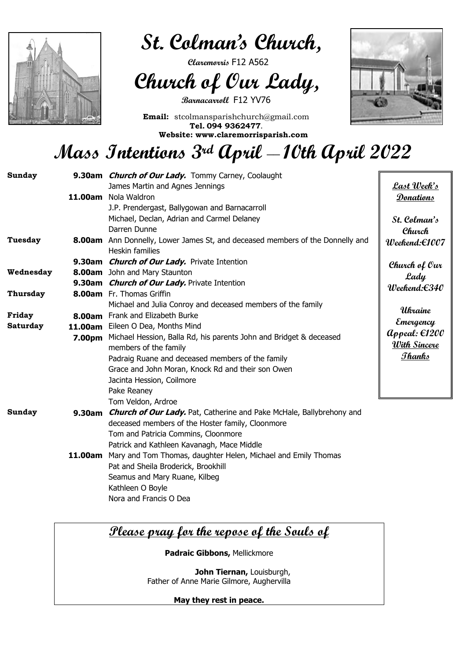

 **St. Colman's Church,** 

 **Claremorris** F12 A562

 **Church of Our Lady,**

**Barnacarroll** F12 YV76

**Email:** stcolmansparishchurch@gmail.com **Tel. 094 9362477. Website: www.claremorrisparish.com**



# **Mass Intentions 3rd April \_\_ 10th April 2022**

| <b>Sunday</b>   |         | 9.30am <i>Church of Our Lady</i> . Tommy Carney, Coolaught                                              |                                      |
|-----------------|---------|---------------------------------------------------------------------------------------------------------|--------------------------------------|
|                 |         | James Martin and Agnes Jennings                                                                         | Last Week's                          |
|                 | 11.00am | Nola Waldron                                                                                            | <b>Donations</b>                     |
|                 |         | J.P. Prendergast, Ballygowan and Barnacarroll                                                           |                                      |
|                 |         | Michael, Declan, Adrian and Carmel Delaney                                                              | St. Colman's                         |
|                 |         | Darren Dunne                                                                                            | Church                               |
| <b>Tuesday</b>  |         | 8.00am Ann Donnelly, Lower James St, and deceased members of the Donnelly and<br><b>Heskin families</b> | $Weekend: \in 1007$                  |
|                 |         | 9.30am <i>Church of Our Lady</i> . Private Intention                                                    |                                      |
| Wednesday       |         | <b>8.00am</b> John and Mary Staunton                                                                    | Church of Our                        |
|                 |         | 9.30am <i>Church of Our Lady</i> . Private Intention                                                    | Lady                                 |
| <b>Thursday</b> |         | <b>8.00am</b> Fr. Thomas Griffin                                                                        | $Weekend: \in 340$                   |
|                 |         | Michael and Julia Conroy and deceased members of the family                                             |                                      |
| Friday          |         | 8.00am Frank and Elizabeth Burke                                                                        | Ukraine                              |
| <b>Saturday</b> |         | 11.00am Eileen O Dea, Months Mind                                                                       | Emergency                            |
|                 | 7.00pm  | Michael Hession, Balla Rd, his parents John and Bridget & deceased                                      | $\mathcal{A}$ ppeal: $\epsilon$ 1200 |
|                 |         | members of the family                                                                                   | <u>With Sincere</u>                  |
|                 |         | Padraig Ruane and deceased members of the family                                                        | <u> Thanks</u>                       |
|                 |         | Grace and John Moran, Knock Rd and their son Owen                                                       |                                      |
|                 |         | Jacinta Hession, Coilmore                                                                               |                                      |
|                 |         | Pake Reaney                                                                                             |                                      |
|                 |         | Tom Veldon, Ardroe                                                                                      |                                      |
| <b>Sunday</b>   | 9.30am  | <b>Church of Our Lady.</b> Pat, Catherine and Pake McHale, Ballybrehony and                             |                                      |
|                 |         | deceased members of the Hoster family, Cloonmore                                                        |                                      |
|                 |         | Tom and Patricia Commins, Cloonmore                                                                     |                                      |
|                 |         | Patrick and Kathleen Kavanagh, Mace Middle                                                              |                                      |
|                 |         | <b>11.00am</b> Mary and Tom Thomas, daughter Helen, Michael and Emily Thomas                            |                                      |
|                 |         | Pat and Sheila Broderick, Brookhill                                                                     |                                      |
|                 |         | Seamus and Mary Ruane, Kilbeg                                                                           |                                      |
|                 |         | Kathleen O Boyle                                                                                        |                                      |

Nora and Francis O Dea